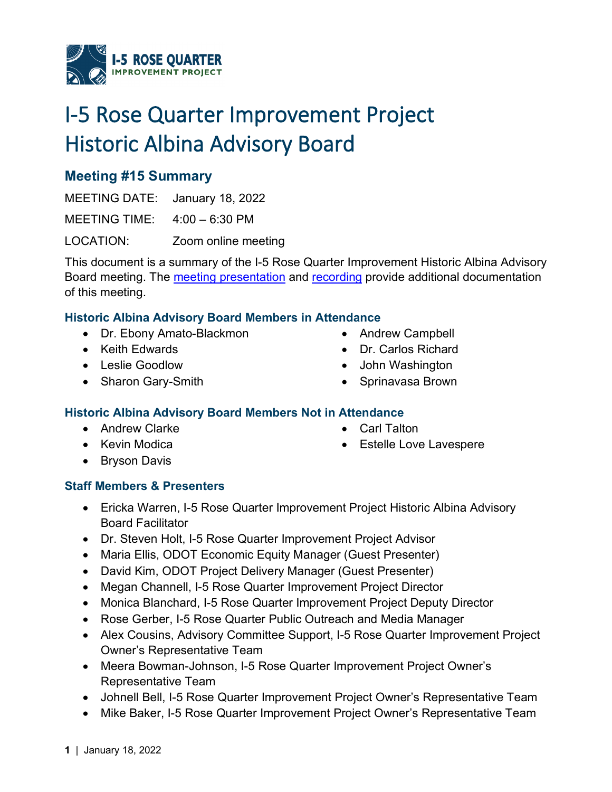

# I-5 Rose Quarter Improvement Project Historic Albina Advisory Board

# **Meeting #15 Summary**

MEETING DATE: January 18, 2022 MEETING TIME: 4:00 – 6:30 PM LOCATION: Zoom online meeting

This document is a summary of the I-5 Rose Quarter Improvement Historic Albina Advisory Board meeting. The [meeting presentation](https://i5rosequarter.oregon.gov/Documents/RQ_HAAB_Presentation_Meeting15_Jan2022_remediated.pdf) and [recording](https://www.youtube.com/watch?v=3IBcSiX-WSU) provide additional documentation of this meeting.

## **Historic Albina Advisory Board Members in Attendance**

- Dr. Ebony Amato-Blackmon
- Keith Edwards
- Leslie Goodlow
- Sharon Gary-Smith
- Andrew Campbell
- Dr. Carlos Richard
- John Washington
- Sprinavasa Brown

## **Historic Albina Advisory Board Members Not in Attendance**

- Andrew Clarke
- Kevin Modica
- Carl Talton
- **Estelle Love Lavespere**

• Bryson Davis

## **Staff Members & Presenters**

- Ericka Warren, I-5 Rose Quarter Improvement Project Historic Albina Advisory Board Facilitator
- Dr. Steven Holt, I-5 Rose Quarter Improvement Project Advisor
- Maria Ellis, ODOT Economic Equity Manager (Guest Presenter)
- David Kim, ODOT Project Delivery Manager (Guest Presenter)
- Megan Channell, I-5 Rose Quarter Improvement Project Director
- Monica Blanchard, I-5 Rose Quarter Improvement Project Deputy Director
- Rose Gerber, I-5 Rose Quarter Public Outreach and Media Manager
- Alex Cousins, Advisory Committee Support, I-5 Rose Quarter Improvement Project Owner's Representative Team
- Meera Bowman-Johnson, I-5 Rose Quarter Improvement Project Owner's Representative Team
- Johnell Bell, I-5 Rose Quarter Improvement Project Owner's Representative Team
- Mike Baker, I-5 Rose Quarter Improvement Project Owner's Representative Team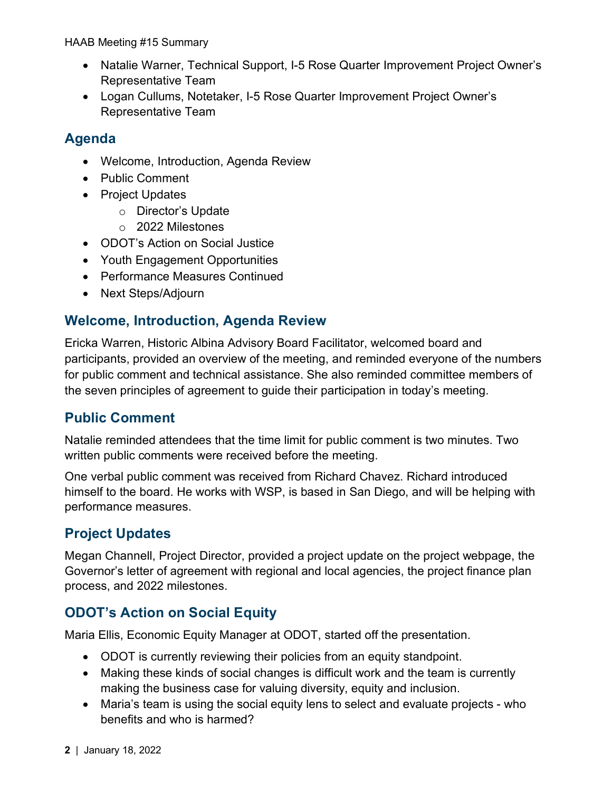- Natalie Warner, Technical Support, I-5 Rose Quarter Improvement Project Owner's Representative Team
- Logan Cullums, Notetaker, I-5 Rose Quarter Improvement Project Owner's Representative Team

# **Agenda**

- Welcome, Introduction, Agenda Review
- Public Comment
- Project Updates
	- o Director's Update
	- o 2022 Milestones
- ODOT's Action on Social Justice
- Youth Engagement Opportunities
- Performance Measures Continued
- Next Steps/Adjourn

# **Welcome, Introduction, Agenda Review**

Ericka Warren, Historic Albina Advisory Board Facilitator, welcomed board and participants, provided an overview of the meeting, and reminded everyone of the numbers for public comment and technical assistance. She also reminded committee members of the seven principles of agreement to guide their participation in today's meeting.

## **Public Comment**

Natalie reminded attendees that the time limit for public comment is two minutes. Two written public comments were received before the meeting.

One verbal public comment was received from Richard Chavez. Richard introduced himself to the board. He works with WSP, is based in San Diego, and will be helping with performance measures.

# **Project Updates**

Megan Channell, Project Director, provided a project update on the project webpage, the Governor's letter of agreement with regional and local agencies, the project finance plan process, and 2022 milestones.

# **ODOT's Action on Social Equity**

Maria Ellis, Economic Equity Manager at ODOT, started off the presentation.

- ODOT is currently reviewing their policies from an equity standpoint.
- Making these kinds of social changes is difficult work and the team is currently making the business case for valuing diversity, equity and inclusion.
- Maria's team is using the social equity lens to select and evaluate projects who benefits and who is harmed?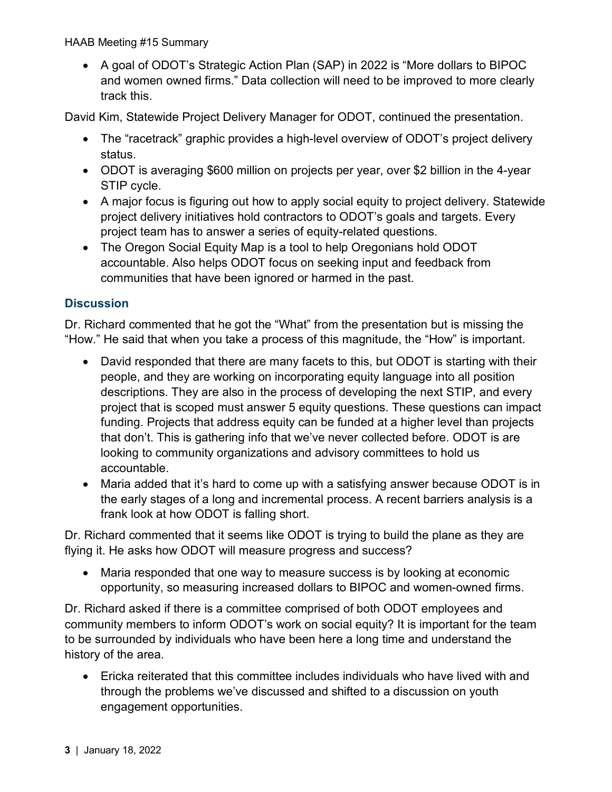• A goal of ODOT's Strategic Action Plan (SAP) in 2022 is "More dollars to BIPOC and women owned firms." Data collection will need to be improved to more clearly track this.

David Kim, Statewide Project Delivery Manager for ODOT, continued the presentation.

- The "racetrack" graphic provides a high-level overview of ODOT's project delivery status.
- ODOT is averaging \$600 million on projects per year, over \$2 billion in the 4-year STIP cycle.
- A major focus is figuring out how to apply social equity to project delivery. Statewide project delivery initiatives hold contractors to ODOT's goals and targets. Every project team has to answer a series of equity-related questions.
- The Oregon Social Equity Map is a tool to help Oregonians hold ODOT accountable. Also helps ODOT focus on seeking input and feedback from communities that have been ignored or harmed in the past.

## **Discussion**

Dr. Richard commented that he got the "What" from the presentation but is missing the "How." He said that when you take a process of this magnitude, the "How" is important.

- David responded that there are many facets to this, but ODOT is starting with their people, and they are working on incorporating equity language into all position descriptions. They are also in the process of developing the next STIP, and every project that is scoped must answer 5 equity questions. These questions can impact funding. Projects that address equity can be funded at a higher level than projects that don't. This is gathering info that we've never collected before. ODOT is are looking to community organizations and advisory committees to hold us accountable.
- Maria added that it's hard to come up with a satisfying answer because ODOT is in the early stages of a long and incremental process. A recent barriers analysis is a frank look at how ODOT is falling short.

Dr. Richard commented that it seems like ODOT is trying to build the plane as they are flying it. He asks how ODOT will measure progress and success?

• Maria responded that one way to measure success is by looking at economic opportunity, so measuring increased dollars to BIPOC and women-owned firms.

Dr. Richard asked if there is a committee comprised of both ODOT employees and community members to inform ODOT's work on social equity? It is important for the team to be surrounded by individuals who have been here a long time and understand the history of the area.

• Ericka reiterated that this committee includes individuals who have lived with and through the problems we've discussed and shifted to a discussion on youth engagement opportunities.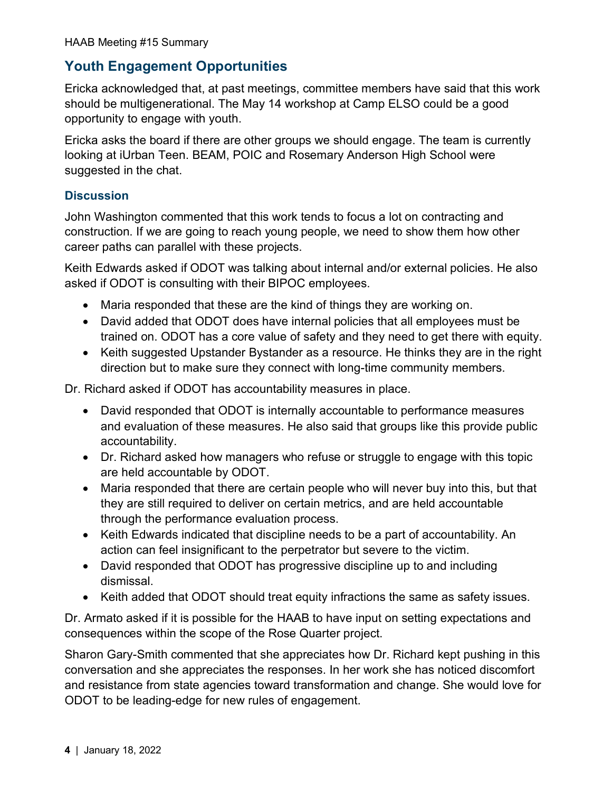# **Youth Engagement Opportunities**

Ericka acknowledged that, at past meetings, committee members have said that this work should be multigenerational. The May 14 workshop at Camp ELSO could be a good opportunity to engage with youth.

Ericka asks the board if there are other groups we should engage. The team is currently looking at iUrban Teen. BEAM, POIC and Rosemary Anderson High School were suggested in the chat.

### **Discussion**

John Washington commented that this work tends to focus a lot on contracting and construction. If we are going to reach young people, we need to show them how other career paths can parallel with these projects.

Keith Edwards asked if ODOT was talking about internal and/or external policies. He also asked if ODOT is consulting with their BIPOC employees.

- Maria responded that these are the kind of things they are working on.
- David added that ODOT does have internal policies that all employees must be trained on. ODOT has a core value of safety and they need to get there with equity.
- Keith suggested Upstander Bystander as a resource. He thinks they are in the right direction but to make sure they connect with long-time community members.

Dr. Richard asked if ODOT has accountability measures in place.

- David responded that ODOT is internally accountable to performance measures and evaluation of these measures. He also said that groups like this provide public accountability.
- Dr. Richard asked how managers who refuse or struggle to engage with this topic are held accountable by ODOT.
- Maria responded that there are certain people who will never buy into this, but that they are still required to deliver on certain metrics, and are held accountable through the performance evaluation process.
- Keith Edwards indicated that discipline needs to be a part of accountability. An action can feel insignificant to the perpetrator but severe to the victim.
- David responded that ODOT has progressive discipline up to and including dismissal.
- Keith added that ODOT should treat equity infractions the same as safety issues.

Dr. Armato asked if it is possible for the HAAB to have input on setting expectations and consequences within the scope of the Rose Quarter project.

Sharon Gary-Smith commented that she appreciates how Dr. Richard kept pushing in this conversation and she appreciates the responses. In her work she has noticed discomfort and resistance from state agencies toward transformation and change. She would love for ODOT to be leading-edge for new rules of engagement.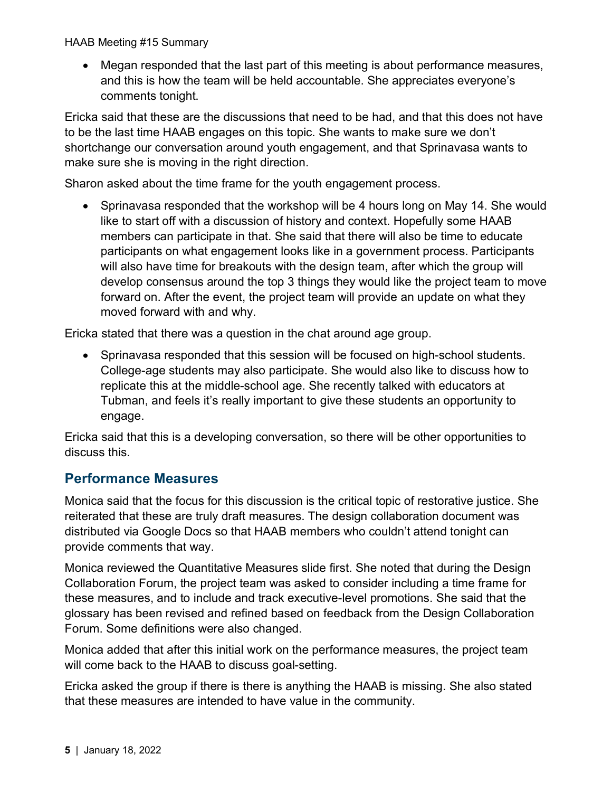• Megan responded that the last part of this meeting is about performance measures, and this is how the team will be held accountable. She appreciates everyone's comments tonight.

Ericka said that these are the discussions that need to be had, and that this does not have to be the last time HAAB engages on this topic. She wants to make sure we don't shortchange our conversation around youth engagement, and that Sprinavasa wants to make sure she is moving in the right direction.

Sharon asked about the time frame for the youth engagement process.

• Sprinavasa responded that the workshop will be 4 hours long on May 14. She would like to start off with a discussion of history and context. Hopefully some HAAB members can participate in that. She said that there will also be time to educate participants on what engagement looks like in a government process. Participants will also have time for breakouts with the design team, after which the group will develop consensus around the top 3 things they would like the project team to move forward on. After the event, the project team will provide an update on what they moved forward with and why.

Ericka stated that there was a question in the chat around age group.

• Sprinavasa responded that this session will be focused on high-school students. College-age students may also participate. She would also like to discuss how to replicate this at the middle-school age. She recently talked with educators at Tubman, and feels it's really important to give these students an opportunity to engage.

Ericka said that this is a developing conversation, so there will be other opportunities to discuss this.

# **Performance Measures**

Monica said that the focus for this discussion is the critical topic of restorative justice. She reiterated that these are truly draft measures. The design collaboration document was distributed via Google Docs so that HAAB members who couldn't attend tonight can provide comments that way.

Monica reviewed the Quantitative Measures slide first. She noted that during the Design Collaboration Forum, the project team was asked to consider including a time frame for these measures, and to include and track executive-level promotions. She said that the glossary has been revised and refined based on feedback from the Design Collaboration Forum. Some definitions were also changed.

Monica added that after this initial work on the performance measures, the project team will come back to the HAAB to discuss goal-setting.

Ericka asked the group if there is there is anything the HAAB is missing. She also stated that these measures are intended to have value in the community.